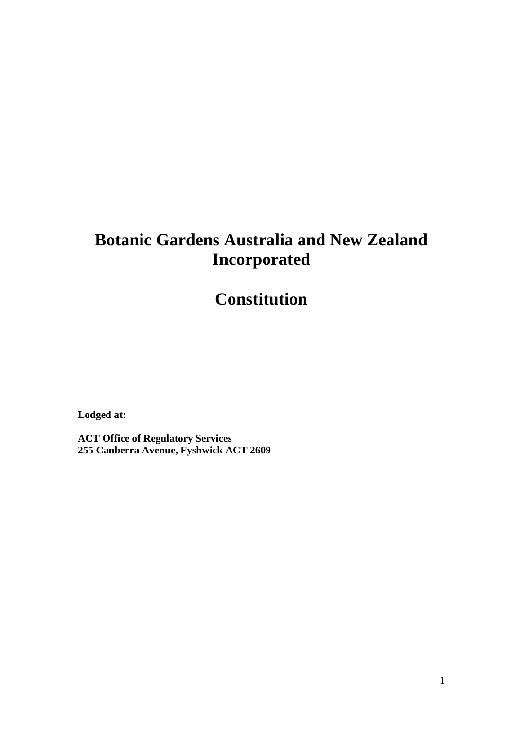# **Botanic Gardens Australia and New Zealand Incorporated**

# **Constitution**

**Lodged at:**

**ACT Office of Regulatory Services 255 Canberra Avenue, Fyshwick ACT 2609**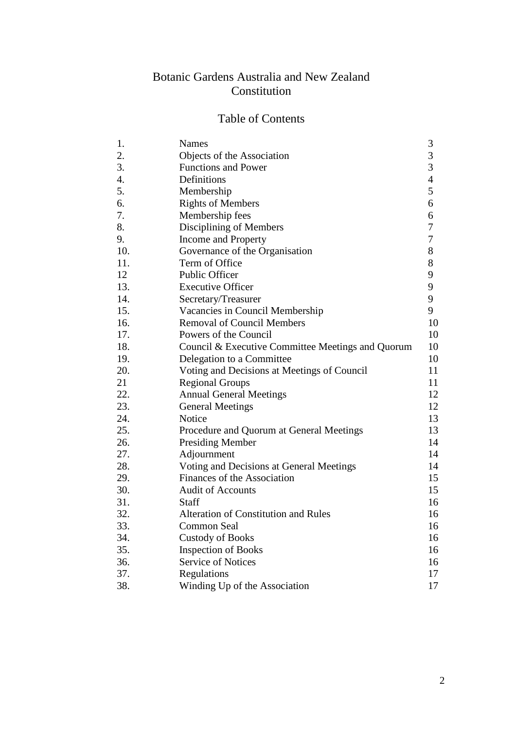# Botanic Gardens Australia and New Zealand Constitution

# Table of Contents

| 1.  | <b>Names</b>                                      | $\mathfrak{Z}$ |
|-----|---------------------------------------------------|----------------|
| 2.  | Objects of the Association                        | 3              |
| 3.  | <b>Functions and Power</b>                        | $\overline{3}$ |
| 4.  | Definitions                                       | $\overline{4}$ |
| 5.  | Membership                                        | 5              |
| 6.  | <b>Rights of Members</b>                          | 6              |
| 7.  | Membership fees                                   | 6              |
| 8.  | Disciplining of Members                           | $\tau$         |
| 9.  | Income and Property                               | $\tau$         |
| 10. | Governance of the Organisation                    | 8              |
| 11. | Term of Office                                    | 8              |
| 12  | Public Officer                                    | 9              |
| 13. | <b>Executive Officer</b>                          | 9              |
| 14. | Secretary/Treasurer                               | 9              |
| 15. | Vacancies in Council Membership                   | 9              |
| 16. | <b>Removal of Council Members</b>                 | 10             |
| 17. | Powers of the Council                             | 10             |
| 18. | Council & Executive Committee Meetings and Quorum | 10             |
| 19. | Delegation to a Committee                         | 10             |
| 20. | Voting and Decisions at Meetings of Council       | 11             |
| 21  | <b>Regional Groups</b>                            | 11             |
| 22. | <b>Annual General Meetings</b>                    | 12             |
| 23. | <b>General Meetings</b>                           | 12             |
| 24. | Notice                                            | 13             |
| 25. | Procedure and Quorum at General Meetings          | 13             |
| 26. | <b>Presiding Member</b>                           | 14             |
| 27. | Adjournment                                       | 14             |
| 28. | Voting and Decisions at General Meetings          | 14             |
| 29. | Finances of the Association                       | 15             |
| 30. | <b>Audit of Accounts</b>                          | 15             |
| 31. | Staff                                             | 16             |
| 32. | <b>Alteration of Constitution and Rules</b>       | 16             |
| 33. | Common Seal                                       | 16             |
| 34. | <b>Custody of Books</b>                           | 16             |
| 35. | <b>Inspection of Books</b>                        | 16             |
| 36. | <b>Service of Notices</b>                         | 16             |
| 37. | Regulations                                       | 17             |
| 38. | Winding Up of the Association                     | 17             |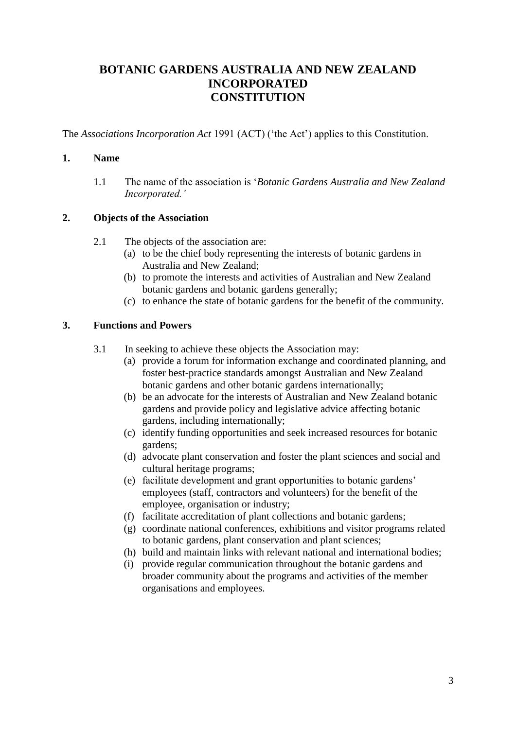## **BOTANIC GARDENS AUSTRALIA AND NEW ZEALAND INCORPORATED CONSTITUTION**

The *Associations Incorporation Act* 1991 (ACT) ('the Act') applies to this Constitution.

#### **1. Name**

1.1 The name of the association is '*Botanic Gardens Australia and New Zealand Incorporated.'*

#### **2. Objects of the Association**

- 2.1 The objects of the association are:
	- (a) to be the chief body representing the interests of botanic gardens in Australia and New Zealand;
	- (b) to promote the interests and activities of Australian and New Zealand botanic gardens and botanic gardens generally;
	- (c) to enhance the state of botanic gardens for the benefit of the community.

#### **3. Functions and Powers**

- 3.1 In seeking to achieve these objects the Association may:
	- (a) provide a forum for information exchange and coordinated planning, and foster best-practice standards amongst Australian and New Zealand botanic gardens and other botanic gardens internationally;
	- (b) be an advocate for the interests of Australian and New Zealand botanic gardens and provide policy and legislative advice affecting botanic gardens, including internationally;
	- (c) identify funding opportunities and seek increased resources for botanic gardens;
	- (d) advocate plant conservation and foster the plant sciences and social and cultural heritage programs;
	- (e) facilitate development and grant opportunities to botanic gardens' employees (staff, contractors and volunteers) for the benefit of the employee, organisation or industry;
	- (f) facilitate accreditation of plant collections and botanic gardens;
	- (g) coordinate national conferences, exhibitions and visitor programs related to botanic gardens, plant conservation and plant sciences;
	- (h) build and maintain links with relevant national and international bodies;
	- (i) provide regular communication throughout the botanic gardens and broader community about the programs and activities of the member organisations and employees.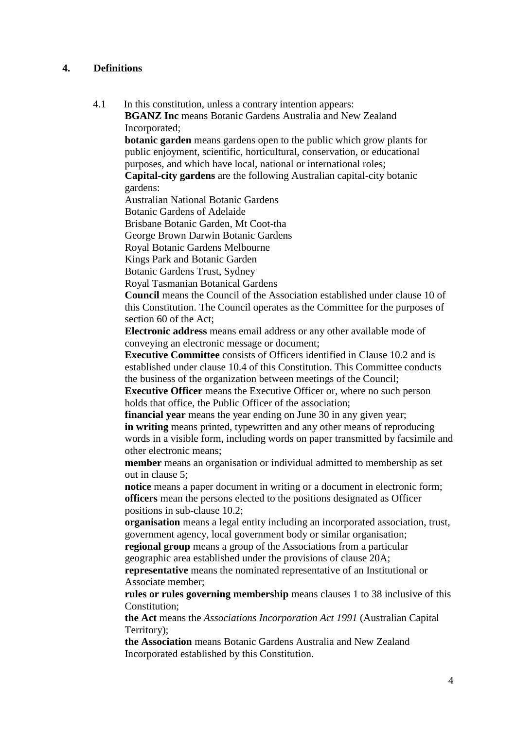#### **4. Definitions**

#### 4.1 In this constitution, unless a contrary intention appears: **BGANZ Inc** means Botanic Gardens Australia and New Zealand Incorporated;

**botanic garden** means gardens open to the public which grow plants for public enjoyment, scientific, horticultural, conservation, or educational purposes, and which have local, national or international roles; **Capital-city gardens** are the following Australian capital-city botanic

gardens:

Australian National Botanic Gardens

Botanic Gardens of Adelaide

Brisbane Botanic Garden, Mt Coot-tha

George Brown Darwin Botanic Gardens

Royal Botanic Gardens Melbourne

Kings Park and Botanic Garden

Botanic Gardens Trust, Sydney

Royal Tasmanian Botanical Gardens

**Council** means the Council of the Association established under clause 10 of this Constitution. The Council operates as the Committee for the purposes of section 60 of the Act;

**Electronic address** means email address or any other available mode of conveying an electronic message or document;

**Executive Committee** consists of Officers identified in Clause 10.2 and is established under clause 10.4 of this Constitution. This Committee conducts the business of the organization between meetings of the Council;

**Executive Officer** means the Executive Officer or, where no such person holds that office, the Public Officer of the association;

**financial year** means the year ending on June 30 in any given year;

**in writing** means printed, typewritten and any other means of reproducing words in a visible form, including words on paper transmitted by facsimile and other electronic means;

**member** means an organisation or individual admitted to membership as set out in clause 5;

**notice** means a paper document in writing or a document in electronic form; **officers** mean the persons elected to the positions designated as Officer positions in sub-clause 10.2;

**organisation** means a legal entity including an incorporated association, trust, government agency, local government body or similar organisation;

**regional group** means a group of the Associations from a particular geographic area established under the provisions of clause 20A;

**representative** means the nominated representative of an Institutional or Associate member;

**rules or rules governing membership** means clauses 1 to 38 inclusive of this Constitution;

**the Act** means the *Associations Incorporation Act 1991* (Australian Capital Territory);

**the Association** means Botanic Gardens Australia and New Zealand Incorporated established by this Constitution.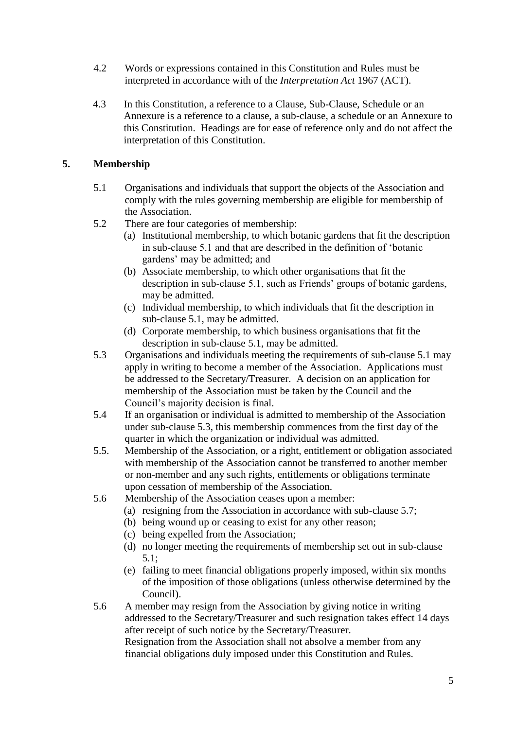- 4.2 Words or expressions contained in this Constitution and Rules must be interpreted in accordance with of the *Interpretation Act* 1967 (ACT).
- 4.3 In this Constitution, a reference to a Clause, Sub-Clause, Schedule or an Annexure is a reference to a clause, a sub-clause, a schedule or an Annexure to this Constitution. Headings are for ease of reference only and do not affect the interpretation of this Constitution.

## **5. Membership**

- 5.1 Organisations and individuals that support the objects of the Association and comply with the rules governing membership are eligible for membership of the Association.
- 5.2 There are four categories of membership:
	- (a) Institutional membership, to which botanic gardens that fit the description in sub-clause 5.1 and that are described in the definition of 'botanic gardens' may be admitted; and
	- (b) Associate membership, to which other organisations that fit the description in sub-clause 5.1, such as Friends' groups of botanic gardens, may be admitted.
	- (c) Individual membership, to which individuals that fit the description in sub-clause 5.1, may be admitted.
	- (d) Corporate membership, to which business organisations that fit the description in sub-clause 5.1, may be admitted.
- 5.3 Organisations and individuals meeting the requirements of sub-clause 5.1 may apply in writing to become a member of the Association. Applications must be addressed to the Secretary/Treasurer. A decision on an application for membership of the Association must be taken by the Council and the Council's majority decision is final.
- 5.4 If an organisation or individual is admitted to membership of the Association under sub-clause 5.3, this membership commences from the first day of the quarter in which the organization or individual was admitted.
- 5.5. Membership of the Association, or a right, entitlement or obligation associated with membership of the Association cannot be transferred to another member or non-member and any such rights, entitlements or obligations terminate upon cessation of membership of the Association.
- 5.6 Membership of the Association ceases upon a member:
	- (a) resigning from the Association in accordance with sub-clause 5.7;
	- (b) being wound up or ceasing to exist for any other reason;
	- (c) being expelled from the Association;
	- (d) no longer meeting the requirements of membership set out in sub-clause 5.1;
	- (e) failing to meet financial obligations properly imposed, within six months of the imposition of those obligations (unless otherwise determined by the Council).
- 5.6 A member may resign from the Association by giving notice in writing addressed to the Secretary/Treasurer and such resignation takes effect 14 days after receipt of such notice by the Secretary/Treasurer. Resignation from the Association shall not absolve a member from any

financial obligations duly imposed under this Constitution and Rules.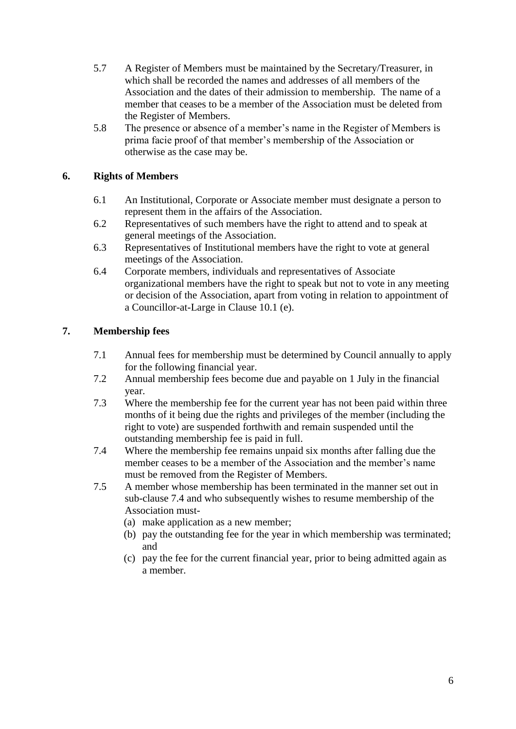- 5.7 A Register of Members must be maintained by the Secretary/Treasurer, in which shall be recorded the names and addresses of all members of the Association and the dates of their admission to membership. The name of a member that ceases to be a member of the Association must be deleted from the Register of Members.
- 5.8 The presence or absence of a member's name in the Register of Members is prima facie proof of that member's membership of the Association or otherwise as the case may be.

## **6. Rights of Members**

- 6.1 An Institutional, Corporate or Associate member must designate a person to represent them in the affairs of the Association.
- 6.2 Representatives of such members have the right to attend and to speak at general meetings of the Association.
- 6.3 Representatives of Institutional members have the right to vote at general meetings of the Association.
- 6.4 Corporate members, individuals and representatives of Associate organizational members have the right to speak but not to vote in any meeting or decision of the Association, apart from voting in relation to appointment of a Councillor-at-Large in Clause 10.1 (e).

## **7. Membership fees**

- 7.1 Annual fees for membership must be determined by Council annually to apply for the following financial year.
- 7.2 Annual membership fees become due and payable on 1 July in the financial year.
- 7.3 Where the membership fee for the current year has not been paid within three months of it being due the rights and privileges of the member (including the right to vote) are suspended forthwith and remain suspended until the outstanding membership fee is paid in full.
- 7.4 Where the membership fee remains unpaid six months after falling due the member ceases to be a member of the Association and the member's name must be removed from the Register of Members.
- 7.5 A member whose membership has been terminated in the manner set out in sub-clause 7.4 and who subsequently wishes to resume membership of the Association must-
	- (a) make application as a new member;
	- (b) pay the outstanding fee for the year in which membership was terminated; and
	- (c) pay the fee for the current financial year, prior to being admitted again as a member.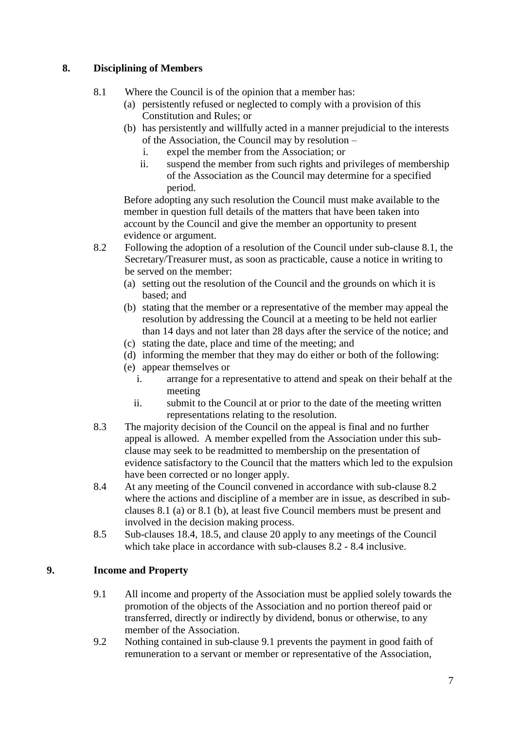## **8. Disciplining of Members**

- 8.1 Where the Council is of the opinion that a member has:
	- (a) persistently refused or neglected to comply with a provision of this Constitution and Rules; or
	- (b) has persistently and willfully acted in a manner prejudicial to the interests of the Association, the Council may by resolution –
		- i. expel the member from the Association; or
		- ii. suspend the member from such rights and privileges of membership of the Association as the Council may determine for a specified period.

Before adopting any such resolution the Council must make available to the member in question full details of the matters that have been taken into account by the Council and give the member an opportunity to present evidence or argument.

- 8.2 Following the adoption of a resolution of the Council under sub-clause 8.1, the Secretary/Treasurer must, as soon as practicable, cause a notice in writing to be served on the member:
	- (a) setting out the resolution of the Council and the grounds on which it is based; and
	- (b) stating that the member or a representative of the member may appeal the resolution by addressing the Council at a meeting to be held not earlier than 14 days and not later than 28 days after the service of the notice; and
	- (c) stating the date, place and time of the meeting; and
	- (d) informing the member that they may do either or both of the following:
	- (e) appear themselves or
		- i. arrange for a representative to attend and speak on their behalf at the meeting
		- ii. submit to the Council at or prior to the date of the meeting written representations relating to the resolution.
- 8.3 The majority decision of the Council on the appeal is final and no further appeal is allowed. A member expelled from the Association under this subclause may seek to be readmitted to membership on the presentation of evidence satisfactory to the Council that the matters which led to the expulsion have been corrected or no longer apply.
- 8.4 At any meeting of the Council convened in accordance with sub-clause 8.2 where the actions and discipline of a member are in issue, as described in subclauses 8.1 (a) or 8.1 (b), at least five Council members must be present and involved in the decision making process.
- 8.5 Sub-clauses 18.4, 18.5, and clause 20 apply to any meetings of the Council which take place in accordance with sub-clauses  $8.2$  -  $8.4$  inclusive.

## **9. Income and Property**

- 9.1 All income and property of the Association must be applied solely towards the promotion of the objects of the Association and no portion thereof paid or transferred, directly or indirectly by dividend, bonus or otherwise, to any member of the Association.
- 9.2 Nothing contained in sub-clause 9.1 prevents the payment in good faith of remuneration to a servant or member or representative of the Association,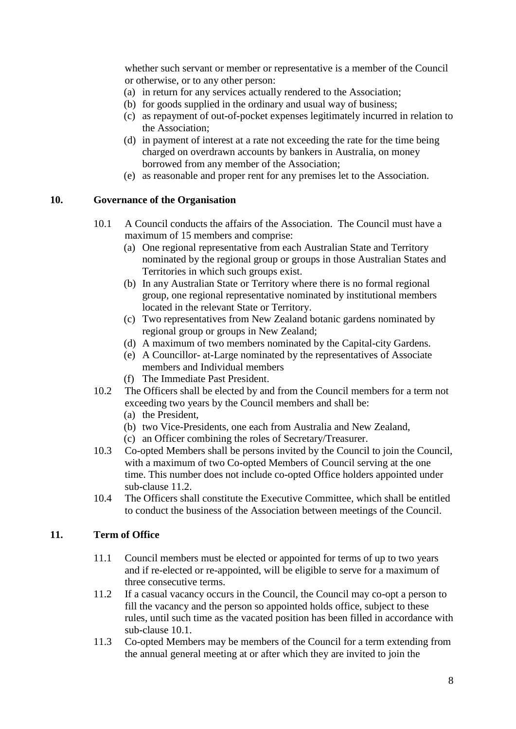whether such servant or member or representative is a member of the Council or otherwise, or to any other person:

- (a) in return for any services actually rendered to the Association;
- (b) for goods supplied in the ordinary and usual way of business;
- (c) as repayment of out-of-pocket expenses legitimately incurred in relation to the Association;
- (d) in payment of interest at a rate not exceeding the rate for the time being charged on overdrawn accounts by bankers in Australia, on money borrowed from any member of the Association;
- (e) as reasonable and proper rent for any premises let to the Association.

#### **10. Governance of the Organisation**

- 10.1 A Council conducts the affairs of the Association. The Council must have a maximum of 15 members and comprise:
	- (a) One regional representative from each Australian State and Territory nominated by the regional group or groups in those Australian States and Territories in which such groups exist.
	- (b) In any Australian State or Territory where there is no formal regional group, one regional representative nominated by institutional members located in the relevant State or Territory.
	- (c) Two representatives from New Zealand botanic gardens nominated by regional group or groups in New Zealand;
	- (d) A maximum of two members nominated by the Capital-city Gardens.
	- (e) A Councillor- at-Large nominated by the representatives of Associate members and Individual members
	- (f) The Immediate Past President.
- 10.2 The Officers shall be elected by and from the Council members for a term not exceeding two years by the Council members and shall be:
	- (a) the President,
	- (b) two Vice-Presidents, one each from Australia and New Zealand,
	- (c) an Officer combining the roles of Secretary/Treasurer.
- 10.3 Co-opted Members shall be persons invited by the Council to join the Council, with a maximum of two Co-opted Members of Council serving at the one time. This number does not include co-opted Office holders appointed under sub-clause 11.2.
- 10.4 The Officers shall constitute the Executive Committee, which shall be entitled to conduct the business of the Association between meetings of the Council.

## **11. Term of Office**

- 11.1 Council members must be elected or appointed for terms of up to two years and if re-elected or re-appointed, will be eligible to serve for a maximum of three consecutive terms.
- 11.2 If a casual vacancy occurs in the Council, the Council may co-opt a person to fill the vacancy and the person so appointed holds office, subject to these rules, until such time as the vacated position has been filled in accordance with sub-clause 10.1.
- 11.3 Co-opted Members may be members of the Council for a term extending from the annual general meeting at or after which they are invited to join the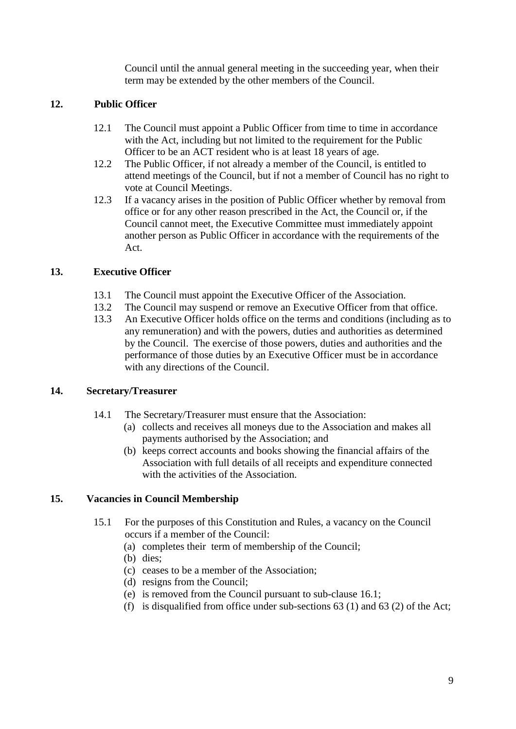Council until the annual general meeting in the succeeding year, when their term may be extended by the other members of the Council.

## **12. Public Officer**

- 12.1 The Council must appoint a Public Officer from time to time in accordance with the Act, including but not limited to the requirement for the Public Officer to be an ACT resident who is at least 18 years of age.
- 12.2 The Public Officer, if not already a member of the Council, is entitled to attend meetings of the Council, but if not a member of Council has no right to vote at Council Meetings.
- 12.3 If a vacancy arises in the position of Public Officer whether by removal from office or for any other reason prescribed in the Act, the Council or, if the Council cannot meet, the Executive Committee must immediately appoint another person as Public Officer in accordance with the requirements of the Act.

## **13. Executive Officer**

- 13.1 The Council must appoint the Executive Officer of the Association.
- 13.2 The Council may suspend or remove an Executive Officer from that office.
- 13.3 An Executive Officer holds office on the terms and conditions (including as to any remuneration) and with the powers, duties and authorities as determined by the Council. The exercise of those powers, duties and authorities and the performance of those duties by an Executive Officer must be in accordance with any directions of the Council.

## **14. Secretary/Treasurer**

- 14.1 The Secretary/Treasurer must ensure that the Association:
	- (a) collects and receives all moneys due to the Association and makes all payments authorised by the Association; and
	- (b) keeps correct accounts and books showing the financial affairs of the Association with full details of all receipts and expenditure connected with the activities of the Association.

## **15. Vacancies in Council Membership**

- 15.1 For the purposes of this Constitution and Rules, a vacancy on the Council occurs if a member of the Council:
	- (a) completes their term of membership of the Council;
	- (b) dies;
	- (c) ceases to be a member of the Association;
	- (d) resigns from the Council;
	- (e) is removed from the Council pursuant to sub-clause 16.1;
	- (f) is disqualified from office under sub-sections 63 (1) and 63 (2) of the Act;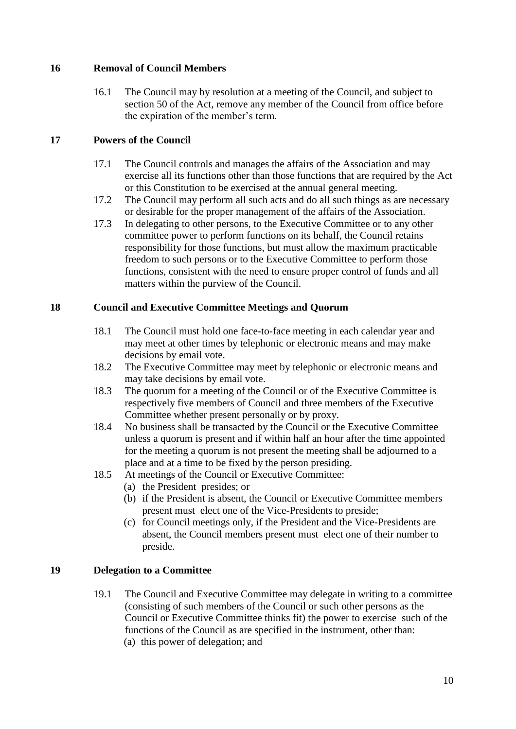## **16 Removal of Council Members**

16.1 The Council may by resolution at a meeting of the Council, and subject to section 50 of the Act, remove any member of the Council from office before the expiration of the member's term.

## **17 Powers of the Council**

- 17.1 The Council controls and manages the affairs of the Association and may exercise all its functions other than those functions that are required by the Act or this Constitution to be exercised at the annual general meeting.
- 17.2 The Council may perform all such acts and do all such things as are necessary or desirable for the proper management of the affairs of the Association.
- 17.3 In delegating to other persons, to the Executive Committee or to any other committee power to perform functions on its behalf, the Council retains responsibility for those functions, but must allow the maximum practicable freedom to such persons or to the Executive Committee to perform those functions, consistent with the need to ensure proper control of funds and all matters within the purview of the Council.

## **18 Council and Executive Committee Meetings and Quorum**

- 18.1 The Council must hold one face-to-face meeting in each calendar year and may meet at other times by telephonic or electronic means and may make decisions by email vote.
- 18.2 The Executive Committee may meet by telephonic or electronic means and may take decisions by email vote.
- 18.3 The quorum for a meeting of the Council or of the Executive Committee is respectively five members of Council and three members of the Executive Committee whether present personally or by proxy.
- 18.4 No business shall be transacted by the Council or the Executive Committee unless a quorum is present and if within half an hour after the time appointed for the meeting a quorum is not present the meeting shall be adjourned to a place and at a time to be fixed by the person presiding.
- 18.5 At meetings of the Council or Executive Committee:
	- (a) the President presides; or
	- (b) if the President is absent, the Council or Executive Committee members present must elect one of the Vice-Presidents to preside;
	- (c) for Council meetings only, if the President and the Vice-Presidents are absent, the Council members present must elect one of their number to preside.

## **19 Delegation to a Committee**

- 19.1 The Council and Executive Committee may delegate in writing to a committee (consisting of such members of the Council or such other persons as the Council or Executive Committee thinks fit) the power to exercise such of the functions of the Council as are specified in the instrument, other than:
	- (a) this power of delegation; and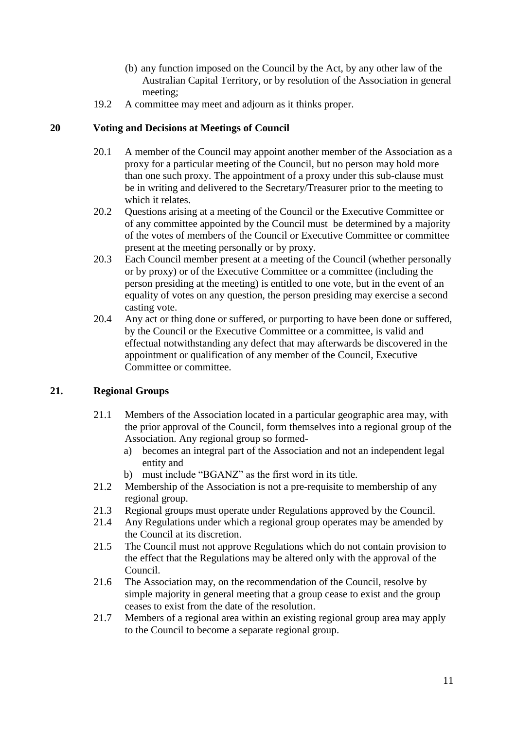- (b) any function imposed on the Council by the Act, by any other law of the Australian Capital Territory, or by resolution of the Association in general meeting;
- 19.2 A committee may meet and adjourn as it thinks proper.

## **20 Voting and Decisions at Meetings of Council**

- 20.1 A member of the Council may appoint another member of the Association as a proxy for a particular meeting of the Council, but no person may hold more than one such proxy. The appointment of a proxy under this sub-clause must be in writing and delivered to the Secretary/Treasurer prior to the meeting to which it relates.
- 20.2 Questions arising at a meeting of the Council or the Executive Committee or of any committee appointed by the Council must be determined by a majority of the votes of members of the Council or Executive Committee or committee present at the meeting personally or by proxy.
- 20.3 Each Council member present at a meeting of the Council (whether personally or by proxy) or of the Executive Committee or a committee (including the person presiding at the meeting) is entitled to one vote, but in the event of an equality of votes on any question, the person presiding may exercise a second casting vote.
- 20.4 Any act or thing done or suffered, or purporting to have been done or suffered, by the Council or the Executive Committee or a committee, is valid and effectual notwithstanding any defect that may afterwards be discovered in the appointment or qualification of any member of the Council, Executive Committee or committee.

## **21. Regional Groups**

- 21.1 Members of the Association located in a particular geographic area may, with the prior approval of the Council, form themselves into a regional group of the Association. Any regional group so formed
	- a) becomes an integral part of the Association and not an independent legal entity and
	- b) must include "BGANZ" as the first word in its title.
- 21.2 Membership of the Association is not a pre-requisite to membership of any regional group.
- 21.3 Regional groups must operate under Regulations approved by the Council.
- 21.4 Any Regulations under which a regional group operates may be amended by the Council at its discretion.
- 21.5 The Council must not approve Regulations which do not contain provision to the effect that the Regulations may be altered only with the approval of the Council.
- 21.6 The Association may, on the recommendation of the Council, resolve by simple majority in general meeting that a group cease to exist and the group ceases to exist from the date of the resolution.
- 21.7 Members of a regional area within an existing regional group area may apply to the Council to become a separate regional group.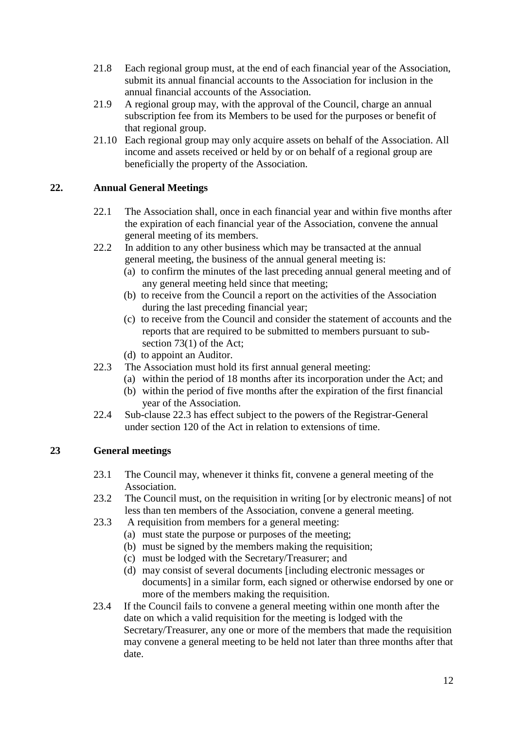- 21.8 Each regional group must, at the end of each financial year of the Association, submit its annual financial accounts to the Association for inclusion in the annual financial accounts of the Association.
- 21.9 A regional group may, with the approval of the Council, charge an annual subscription fee from its Members to be used for the purposes or benefit of that regional group.
- 21.10 Each regional group may only acquire assets on behalf of the Association. All income and assets received or held by or on behalf of a regional group are beneficially the property of the Association.

## **22. Annual General Meetings**

- 22.1 The Association shall, once in each financial year and within five months after the expiration of each financial year of the Association, convene the annual general meeting of its members.
- 22.2 In addition to any other business which may be transacted at the annual general meeting, the business of the annual general meeting is:
	- (a) to confirm the minutes of the last preceding annual general meeting and of any general meeting held since that meeting;
	- (b) to receive from the Council a report on the activities of the Association during the last preceding financial year;
	- (c) to receive from the Council and consider the statement of accounts and the reports that are required to be submitted to members pursuant to subsection 73(1) of the Act;
	- (d) to appoint an Auditor.
- 22.3 The Association must hold its first annual general meeting:
	- (a) within the period of 18 months after its incorporation under the Act; and
	- (b) within the period of five months after the expiration of the first financial year of the Association.
- 22.4 Sub-clause 22.3 has effect subject to the powers of the Registrar-General under section 120 of the Act in relation to extensions of time.

## **23 General meetings**

- 23.1 The Council may, whenever it thinks fit, convene a general meeting of the Association.
- 23.2 The Council must, on the requisition in writing [or by electronic means] of not less than ten members of the Association, convene a general meeting.
- 23.3 A requisition from members for a general meeting:
	- (a) must state the purpose or purposes of the meeting;
	- (b) must be signed by the members making the requisition;
	- (c) must be lodged with the Secretary/Treasurer; and
	- (d) may consist of several documents [including electronic messages or documents] in a similar form, each signed or otherwise endorsed by one or more of the members making the requisition.
- 23.4 If the Council fails to convene a general meeting within one month after the date on which a valid requisition for the meeting is lodged with the Secretary/Treasurer, any one or more of the members that made the requisition may convene a general meeting to be held not later than three months after that date.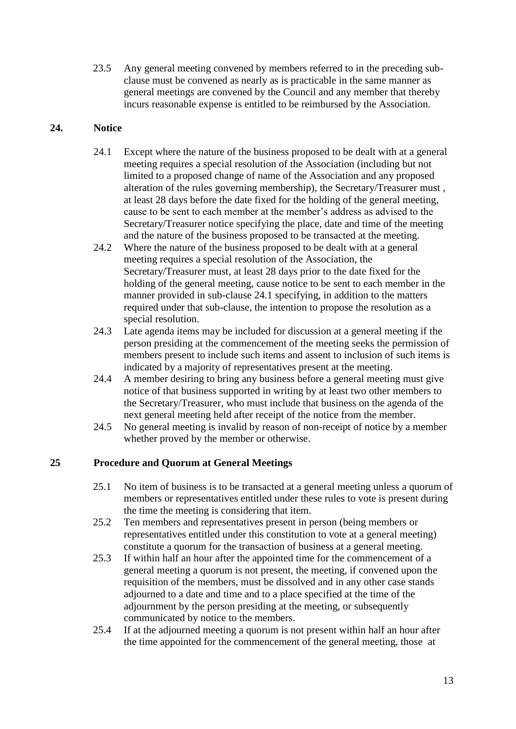23.5 Any general meeting convened by members referred to in the preceding subclause must be convened as nearly as is practicable in the same manner as general meetings are convened by the Council and any member that thereby incurs reasonable expense is entitled to be reimbursed by the Association.

## **24. Notice**

- 24.1 Except where the nature of the business proposed to be dealt with at a general meeting requires a special resolution of the Association (including but not limited to a proposed change of name of the Association and any proposed alteration of the rules governing membership), the Secretary/Treasurer must , at least 28 days before the date fixed for the holding of the general meeting, cause to be sent to each member at the member's address as advised to the Secretary/Treasurer notice specifying the place, date and time of the meeting and the nature of the business proposed to be transacted at the meeting.
- 24.2 Where the nature of the business proposed to be dealt with at a general meeting requires a special resolution of the Association, the Secretary/Treasurer must, at least 28 days prior to the date fixed for the holding of the general meeting, cause notice to be sent to each member in the manner provided in sub-clause 24.1 specifying, in addition to the matters required under that sub-clause, the intention to propose the resolution as a special resolution.
- 24.3 Late agenda items may be included for discussion at a general meeting if the person presiding at the commencement of the meeting seeks the permission of members present to include such items and assent to inclusion of such items is indicated by a majority of representatives present at the meeting.
- 24.4 A member desiring to bring any business before a general meeting must give notice of that business supported in writing by at least two other members to the Secretary/Treasurer, who must include that business on the agenda of the next general meeting held after receipt of the notice from the member.
- 24.5 No general meeting is invalid by reason of non-receipt of notice by a member whether proved by the member or otherwise.

## **25 Procedure and Quorum at General Meetings**

- 25.1 No item of business is to be transacted at a general meeting unless a quorum of members or representatives entitled under these rules to vote is present during the time the meeting is considering that item.
- 25.2 Ten members and representatives present in person (being members or representatives entitled under this constitution to vote at a general meeting) constitute a quorum for the transaction of business at a general meeting.
- 25.3 If within half an hour after the appointed time for the commencement of a general meeting a quorum is not present, the meeting, if convened upon the requisition of the members, must be dissolved and in any other case stands adjourned to a date and time and to a place specified at the time of the adjournment by the person presiding at the meeting, or subsequently communicated by notice to the members.
- 25.4 If at the adjourned meeting a quorum is not present within half an hour after the time appointed for the commencement of the general meeting, those at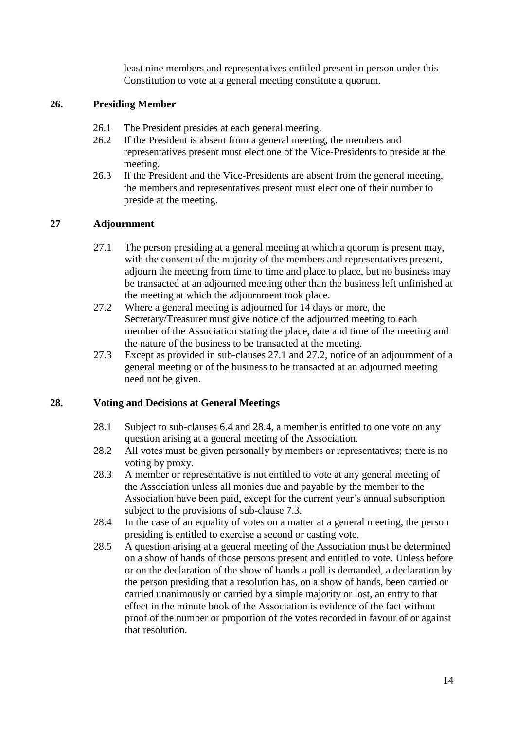least nine members and representatives entitled present in person under this Constitution to vote at a general meeting constitute a quorum.

## **26. Presiding Member**

- 26.1 The President presides at each general meeting.
- 26.2 If the President is absent from a general meeting, the members and representatives present must elect one of the Vice-Presidents to preside at the meeting.
- 26.3 If the President and the Vice-Presidents are absent from the general meeting, the members and representatives present must elect one of their number to preside at the meeting.

## **27 Adjournment**

- 27.1 The person presiding at a general meeting at which a quorum is present may, with the consent of the majority of the members and representatives present, adjourn the meeting from time to time and place to place, but no business may be transacted at an adjourned meeting other than the business left unfinished at the meeting at which the adjournment took place.
- 27.2 Where a general meeting is adjourned for 14 days or more, the Secretary/Treasurer must give notice of the adjourned meeting to each member of the Association stating the place, date and time of the meeting and the nature of the business to be transacted at the meeting.
- 27.3 Except as provided in sub-clauses 27.1 and 27.2, notice of an adjournment of a general meeting or of the business to be transacted at an adjourned meeting need not be given.

## **28. Voting and Decisions at General Meetings**

- 28.1 Subject to sub-clauses 6.4 and 28.4, a member is entitled to one vote on any question arising at a general meeting of the Association.
- 28.2 All votes must be given personally by members or representatives; there is no voting by proxy.
- 28.3 A member or representative is not entitled to vote at any general meeting of the Association unless all monies due and payable by the member to the Association have been paid, except for the current year's annual subscription subject to the provisions of sub-clause 7.3.
- 28.4 In the case of an equality of votes on a matter at a general meeting, the person presiding is entitled to exercise a second or casting vote.
- 28.5 A question arising at a general meeting of the Association must be determined on a show of hands of those persons present and entitled to vote. Unless before or on the declaration of the show of hands a poll is demanded, a declaration by the person presiding that a resolution has, on a show of hands, been carried or carried unanimously or carried by a simple majority or lost, an entry to that effect in the minute book of the Association is evidence of the fact without proof of the number or proportion of the votes recorded in favour of or against that resolution.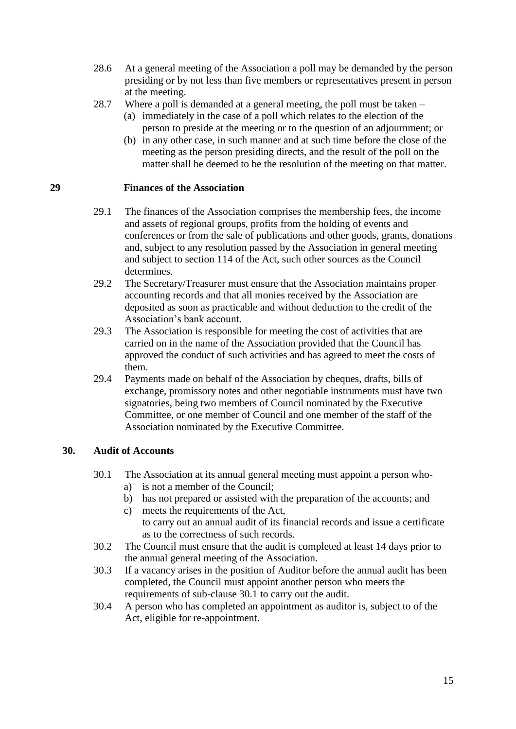- 28.6 At a general meeting of the Association a poll may be demanded by the person presiding or by not less than five members or representatives present in person at the meeting.
- 28.7 Where a poll is demanded at a general meeting, the poll must be taken (a) immediately in the case of a poll which relates to the election of the person to preside at the meeting or to the question of an adjournment; or
	- (b) in any other case, in such manner and at such time before the close of the meeting as the person presiding directs, and the result of the poll on the matter shall be deemed to be the resolution of the meeting on that matter.

#### **29 Finances of the Association**

- 29.1 The finances of the Association comprises the membership fees, the income and assets of regional groups, profits from the holding of events and conferences or from the sale of publications and other goods, grants, donations and, subject to any resolution passed by the Association in general meeting and subject to section 114 of the Act, such other sources as the Council determines.
- 29.2 The Secretary/Treasurer must ensure that the Association maintains proper accounting records and that all monies received by the Association are deposited as soon as practicable and without deduction to the credit of the Association's bank account.
- 29.3 The Association is responsible for meeting the cost of activities that are carried on in the name of the Association provided that the Council has approved the conduct of such activities and has agreed to meet the costs of them.
- 29.4 Payments made on behalf of the Association by cheques, drafts, bills of exchange, promissory notes and other negotiable instruments must have two signatories, being two members of Council nominated by the Executive Committee, or one member of Council and one member of the staff of the Association nominated by the Executive Committee.

## **30. Audit of Accounts**

- 30.1 The Association at its annual general meeting must appoint a person who
	- a) is not a member of the Council;
	- b) has not prepared or assisted with the preparation of the accounts; and
	- c) meets the requirements of the Act, to carry out an annual audit of its financial records and issue a certificate as to the correctness of such records.
- 30.2 The Council must ensure that the audit is completed at least 14 days prior to the annual general meeting of the Association.
- 30.3 If a vacancy arises in the position of Auditor before the annual audit has been completed, the Council must appoint another person who meets the requirements of sub-clause 30.1 to carry out the audit.
- 30.4 A person who has completed an appointment as auditor is, subject to of the Act, eligible for re-appointment.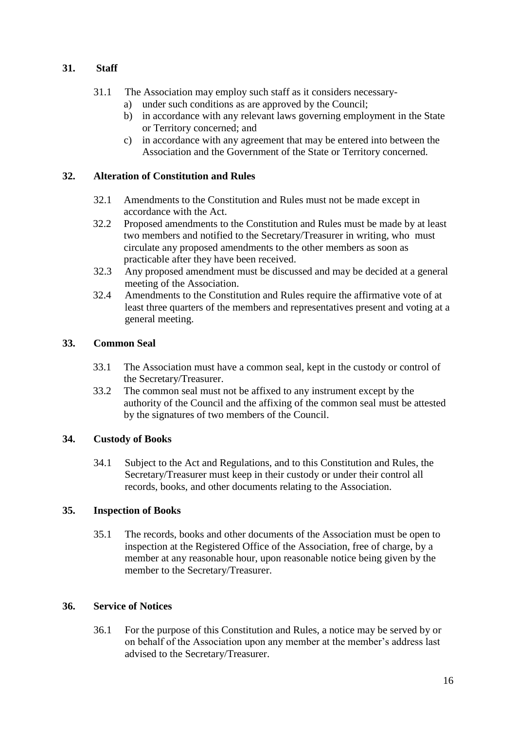## **31. Staff**

- 31.1 The Association may employ such staff as it considers necessary
	- a) under such conditions as are approved by the Council;
	- b) in accordance with any relevant laws governing employment in the State or Territory concerned; and
	- c) in accordance with any agreement that may be entered into between the Association and the Government of the State or Territory concerned.

## **32. Alteration of Constitution and Rules**

- 32.1 Amendments to the Constitution and Rules must not be made except in accordance with the Act.
- 32.2 Proposed amendments to the Constitution and Rules must be made by at least two members and notified to the Secretary/Treasurer in writing, who must circulate any proposed amendments to the other members as soon as practicable after they have been received.
- 32.3 Any proposed amendment must be discussed and may be decided at a general meeting of the Association.
- 32.4 Amendments to the Constitution and Rules require the affirmative vote of at least three quarters of the members and representatives present and voting at a general meeting.

## **33. Common Seal**

- 33.1 The Association must have a common seal, kept in the custody or control of the Secretary/Treasurer.
- 33.2 The common seal must not be affixed to any instrument except by the authority of the Council and the affixing of the common seal must be attested by the signatures of two members of the Council.

## **34. Custody of Books**

34.1 Subject to the Act and Regulations, and to this Constitution and Rules, the Secretary/Treasurer must keep in their custody or under their control all records, books, and other documents relating to the Association.

## **35. Inspection of Books**

35.1 The records, books and other documents of the Association must be open to inspection at the Registered Office of the Association, free of charge, by a member at any reasonable hour, upon reasonable notice being given by the member to the Secretary/Treasurer.

## **36. Service of Notices**

36.1 For the purpose of this Constitution and Rules, a notice may be served by or on behalf of the Association upon any member at the member's address last advised to the Secretary/Treasurer.